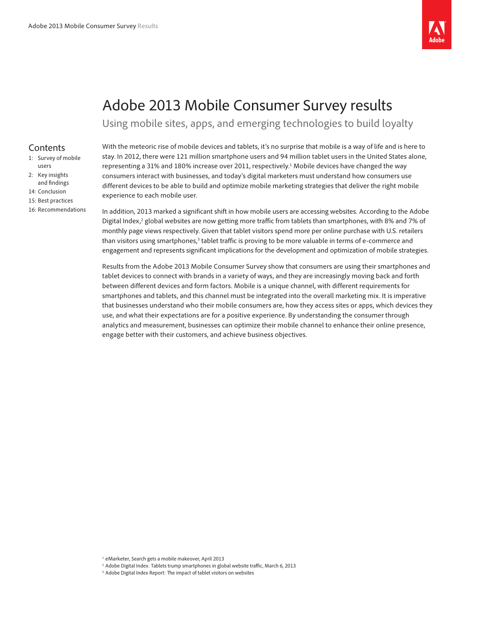

# Adobe 2013 Mobile Consumer Survey results

Using mobile sites, apps, and emerging technologies to build loyalty

## Contents

- 1: Survey of mobile users
- 2: [Key insights](#page-1-0)  and fi[ndings](#page-1-0)
- 14: [Conclusion](#page-13-0)
- 15: [Best practices](#page-14-0)
- 16: [Recommendations](#page-15-0)

With the meteoric rise of mobile devices and tablets, it's no surprise that mobile is a way of life and is here to stay. In 2012, there were 121 million smartphone users and 94 million tablet users in the United States alone, representing a 31% and 180% increase over 2011, respectively.<sup>1</sup> Mobile devices have changed the way consumers interact with businesses, and today's digital marketers must understand how consumers use different devices to be able to build and optimize mobile marketing strategies that deliver the right mobile experience to each mobile user.

In addition, 2013 marked a significant shift in how mobile users are accessing websites. According to the Adobe Digital Index,<sup>2</sup> global websites are now getting more traffic from tablets than smartphones, with 8% and 7% of monthly page views respectively. Given that tablet visitors spend more per online purchase with U.S. retailers than visitors using smartphones,<sup>3</sup> tablet traffic is proving to be more valuable in terms of e-commerce and engagement and represents significant implications for the development and optimization of mobile strategies.

Results from the Adobe 2013 Mobile Consumer Survey show that consumers are using their smartphones and tablet devices to connect with brands in a variety of ways, and they are increasingly moving back and forth between different devices and form factors. Mobile is a unique channel, with different requirements for smartphones and tablets, and this channel must be integrated into the overall marketing mix. It is imperative that businesses understand who their mobile consumers are, how they access sites or apps, which devices they use, and what their expectations are for a positive experience. By understanding the consumer through analytics and measurement, businesses can optimize their mobile channel to enhance their online presence, engage better with their customers, and achieve business objectives.

- <sup>2</sup> Adobe Digital Index: Tablets trump smartphones in global website traffic, March 6, 2013
- <sup>3</sup> Adobe Digital Index Report: The impact of tablet visitors on websites

<sup>1</sup> eMarketer, Search gets a mobile makeover, April 2013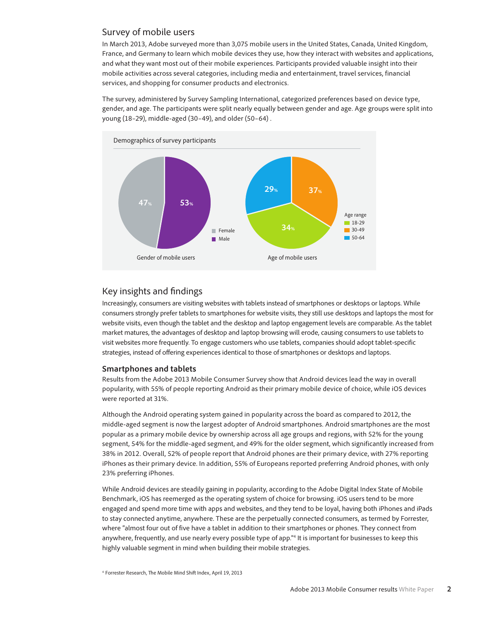## <span id="page-1-0"></span>Survey of mobile users

In March 2013, Adobe surveyed more than 3,075 mobile users in the United States, Canada, United Kingdom, France, and Germany to learn which mobile devices they use, how they interact with websites and applications, and what they want most out of their mobile experiences. Participants provided valuable insight into their mobile activities across several categories, including media and entertainment, travel services, financial services, and shopping for consumer products and electronics.

The survey, administered by Survey Sampling International, categorized preferences based on device type, gender, and age. The participants were split nearly equally between gender and age. Age groups were split into young (18–29), middle-aged (30–49), and older (50–64) .



# Key insights and findings

Increasingly, consumers are visiting websites with tablets instead of smartphones or desktops or laptops. While consumers strongly prefer tablets to smartphones for website visits, they still use desktops and laptops the most for website visits, even though the tablet and the desktop and laptop engagement levels are comparable. As the tablet market matures, the advantages of desktop and laptop browsing will erode, causing consumers to use tablets to visit websites more frequently. To engage customers who use tablets, companies should adopt tablet-specific strategies, instead of offering experiences identical to those of smartphones or desktops and laptops.

## **Smartphones and tablets**

Results from the Adobe 2013 Mobile Consumer Survey show that Android devices lead the way in overall popularity, with 55% of people reporting Android as their primary mobile device of choice, while iOS devices were reported at 31%.

Although the Android operating system gained in popularity across the board as compared to 2012, the middle-aged segment is now the largest adopter of Android smartphones. Android smartphones are the most popular as a primary mobile device by ownership across all age groups and regions, with 52% for the young segment, 54% for the middle-aged segment, and 49% for the older segment, which significantly increased from 38% in 2012. Overall, 52% of people report that Android phones are their primary device, with 27% reporting iPhones as their primary device. In addition, 55% of Europeans reported preferring Android phones, with only 23% preferring iPhones.

While Android devices are steadily gaining in popularity, according to the Adobe Digital Index State of Mobile Benchmark, iOS has reemerged as the operating system of choice for browsing. iOS users tend to be more engaged and spend more time with apps and websites, and they tend to be loyal, having both iPhones and iPads to stay connected anytime, anywhere. These are the perpetually connected consumers, as termed by Forrester, where "almost four out of five have a tablet in addition to their smartphones or phones. They connect from anywhere, frequently, and use nearly every possible type of app."4 It is important for businesses to keep this highly valuable segment in mind when building their mobile strategies.

<sup>4</sup> Forrester Research, The Mobile Mind Shift Index, April 19, 2013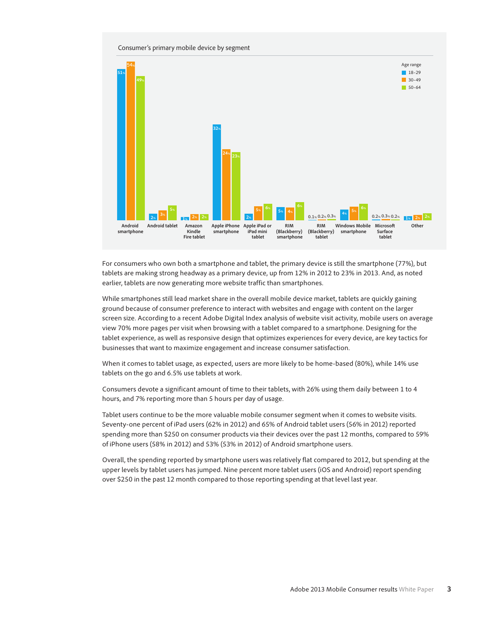#### Consumer's primary mobile device by segment



For consumers who own both a smartphone and tablet, the primary device is still the smartphone (77%), but tablets are making strong headway as a primary device, up from 12% in 2012 to 23% in 2013. And, as noted earlier, tablets are now generating more website traffic than smartphones.

While smartphones still lead market share in the overall mobile device market, tablets are quickly gaining ground because of consumer preference to interact with websites and engage with content on the larger screen size. According to a recent Adobe Digital Index analysis of website visit activity, mobile users on average view 70% more pages per visit when browsing with a tablet compared to a smartphone. Designing for the tablet experience, as well as responsive design that optimizes experiences for every device, are key tactics for businesses that want to maximize engagement and increase consumer satisfaction.

When it comes to tablet usage, as expected, users are more likely to be home-based (80%), while 14% use tablets on the go and 6.5% use tablets at work.

Consumers devote a significant amount of time to their tablets, with 26% using them daily between 1 to 4 hours, and 7% reporting more than 5 hours per day of usage.

Tablet users continue to be the more valuable mobile consumer segment when it comes to website visits. Seventy-one percent of iPad users (62% in 2012) and 65% of Android tablet users (56% in 2012) reported spending more than \$250 on consumer products via their devices over the past 12 months, compared to 59% of iPhone users (58% in 2012) and 53% (53% in 2012) of Android smartphone users.

Overall, the spending reported by smartphone users was relatively flat compared to 2012, but spending at the upper levels by tablet users has jumped. Nine percent more tablet users (iOS and Android) report spending over \$250 in the past 12 month compared to those reporting spending at that level last year.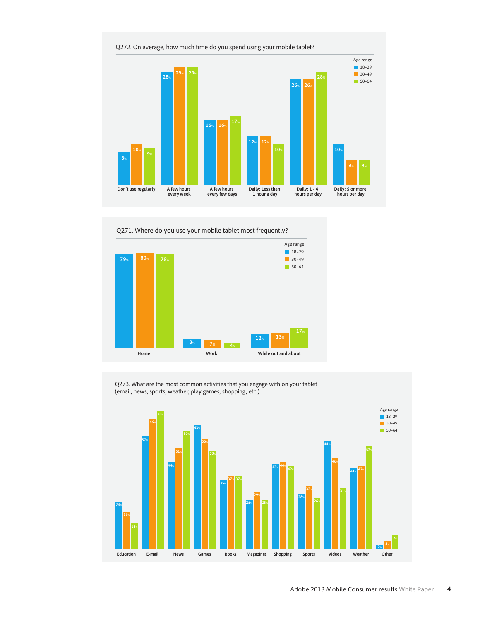

Q271. Where do you use your mobile tablet most frequently?



Q273. What are the most common activities that you engage with on your tablet (email, news, sports, weather, play games, shopping, etc.)

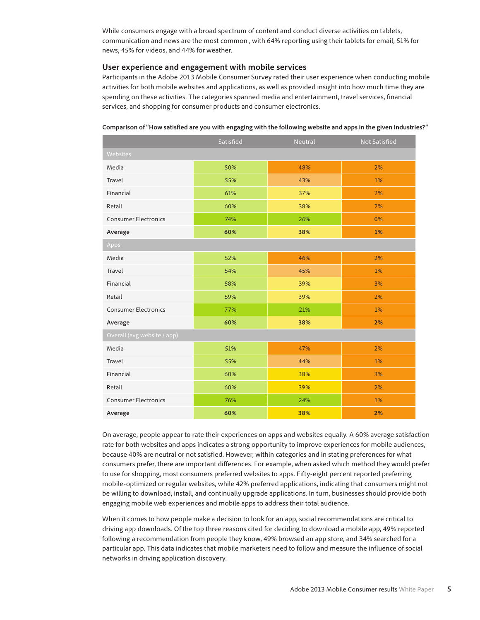While consumers engage with a broad spectrum of content and conduct diverse activities on tablets, communication and news are the most common , with 64% reporting using their tablets for email, 51% for news, 45% for videos, and 44% for weather.

## **User experience and engagement with mobile services**

Participants in the Adobe 2013 Mobile Consumer Survey rated their user experience when conducting mobile activities for both mobile websites and applications, as well as provided insight into how much time they are spending on these activities. The categories spanned media and entertainment, travel services, financial services, and shopping for consumer products and consumer electronics.

|                             | Satisfied | Neutral | <b>Not Satisfied</b> |  |  |  |
|-----------------------------|-----------|---------|----------------------|--|--|--|
| Websites                    |           |         |                      |  |  |  |
| Media                       | 50%       | 48%     | 2%                   |  |  |  |
| Travel                      | 55%       | 43%     | 1%                   |  |  |  |
| Financial                   | 61%       | 37%     | 2%                   |  |  |  |
| Retail                      | 60%       | 38%     | 2%                   |  |  |  |
| <b>Consumer Electronics</b> | 74%       | 26%     | 0%                   |  |  |  |
| Average                     | 60%       | 38%     | 1%                   |  |  |  |
| Apps                        |           |         |                      |  |  |  |
| Media                       | 52%       | 46%     | 2%                   |  |  |  |
| Travel                      | 54%       | 45%     | 1%                   |  |  |  |
| Financial                   | 58%       | 39%     | 3%                   |  |  |  |
| Retail                      | 59%       | 39%     | 2%                   |  |  |  |
| <b>Consumer Electronics</b> | 77%       | 21%     | 1%                   |  |  |  |
| Average                     | 60%       | 38%     | 2%                   |  |  |  |
| Overall (avg website / app) |           |         |                      |  |  |  |
| Media                       | 51%       | 47%     | 2%                   |  |  |  |
| Travel                      | 55%       | 44%     | 1%                   |  |  |  |
| Financial                   | 60%       | 38%     | 3%                   |  |  |  |
| Retail                      | 60%       | 39%     | 2%                   |  |  |  |
| <b>Consumer Electronics</b> | 76%       | 24%     | 1%                   |  |  |  |
| Average                     | 60%       | 38%     | 2%                   |  |  |  |

**Comparison of "How satisfied are you with engaging with the following website and apps in the given industries?"**

On average, people appear to rate their experiences on apps and websites equally. A 60% average satisfaction rate for both websites and apps indicates a strong opportunity to improve experiences for mobile audiences, because 40% are neutral or not satisfied. However, within categories and in stating preferences for what consumers prefer, there are important differences. For example, when asked which method they would prefer to use for shopping, most consumers preferred websites to apps. Fifty-eight percent reported preferring mobile-optimized or regular websites, while 42% preferred applications, indicating that consumers might not be willing to download, install, and continually upgrade applications. In turn, businesses should provide both engaging mobile web experiences and mobile apps to address their total audience.

When it comes to how people make a decision to look for an app, social recommendations are critical to driving app downloads. Of the top three reasons cited for deciding to download a mobile app, 49% reported following a recommendation from people they know, 49% browsed an app store, and 34% searched for a particular app. This data indicates that mobile marketers need to follow and measure the influence of social networks in driving application discovery.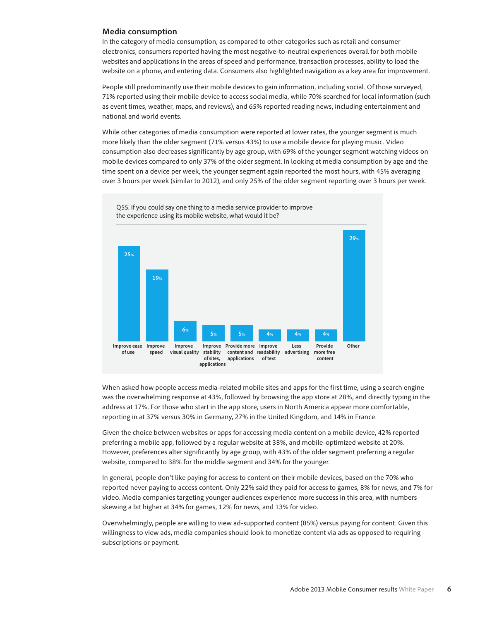#### **Media consumption**

In the category of media consumption, as compared to other categories such as retail and consumer electronics, consumers reported having the most negative-to-neutral experiences overall for both mobile websites and applications in the areas of speed and performance, transaction processes, ability to load the website on a phone, and entering data. Consumers also highlighted navigation as a key area for improvement.

People still predominantly use their mobile devices to gain information, including social. Of those surveyed, 71% reported using their mobile device to access social media, while 70% searched for local information (such as event times, weather, maps, and reviews), and 65% reported reading news, including entertainment and national and world events.

While other categories of media consumption were reported at lower rates, the younger segment is much more likely than the older segment (71% versus 43%) to use a mobile device for playing music. Video consumption also decreases significantly by age group, with 69% of the younger segment watching videos on mobile devices compared to only 37% of the older segment. In looking at media consumption by age and the time spent on a device per week, the younger segment again reported the most hours, with 45% averaging over 3 hours per week (similar to 2012), and only 25% of the older segment reporting over 3 hours per week.



When asked how people access media-related mobile sites and apps for the first time, using a search engine was the overwhelming response at 43%, followed by browsing the app store at 28%, and directly typing in the address at 17%. For those who start in the app store, users in North America appear more comfortable, reporting in at 37% versus 30% in Germany, 27% in the United Kingdom, and 14% in France.

Given the choice between websites or apps for accessing media content on a mobile device, 42% reported preferring a mobile app, followed by a regular website at 38%, and mobile-optimized website at 20%. However, preferences alter significantly by age group, with 43% of the older segment preferring a regular website, compared to 38% for the middle segment and 34% for the younger.

In general, people don't like paying for access to content on their mobile devices, based on the 70% who reported never paying to access content. Only 22% said they paid for access to games, 8% for news, and 7% for video. Media companies targeting younger audiences experience more success in this area, with numbers skewing a bit higher at 34% for games, 12% for news, and 13% for video.

Overwhelmingly, people are willing to view ad-supported content (85%) versus paying for content. Given this willingness to view ads, media companies should look to monetize content via ads as opposed to requiring subscriptions or payment.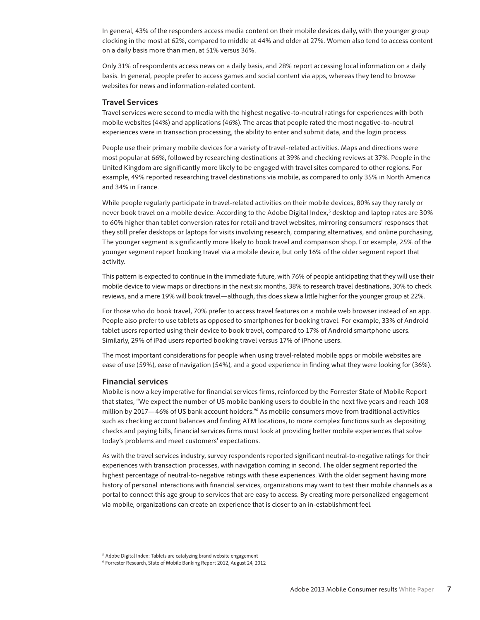In general, 43% of the responders access media content on their mobile devices daily, with the younger group clocking in the most at 62%, compared to middle at 44% and older at 27%. Women also tend to access content on a daily basis more than men, at 51% versus 36%.

Only 31% of respondents access news on a daily basis, and 28% report accessing local information on a daily basis. In general, people prefer to access games and social content via apps, whereas they tend to browse websites for news and information-related content.

## **Travel Services**

Travel services were second to media with the highest negative-to-neutral ratings for experiences with both mobile websites (44%) and applications (46%). The areas that people rated the most negative-to-neutral experiences were in transaction processing, the ability to enter and submit data, and the login process.

People use their primary mobile devices for a variety of travel-related activities. Maps and directions were most popular at 66%, followed by researching destinations at 39% and checking reviews at 37%. People in the United Kingdom are significantly more likely to be engaged with travel sites compared to other regions. For example, 49% reported researching travel destinations via mobile, as compared to only 35% in North America and 34% in France.

While people regularly participate in travel-related activities on their mobile devices, 80% say they rarely or never book travel on a mobile device. According to the Adobe Digital Index,<sup>5</sup> desktop and laptop rates are 30% to 60% higher than tablet conversion rates for retail and travel websites, mirroring consumers' responses that they still prefer desktops or laptops for visits involving research, comparing alternatives, and online purchasing. The younger segment is significantly more likely to book travel and comparison shop. For example, 25% of the younger segment report booking travel via a mobile device, but only 16% of the older segment report that activity.

This pattern is expected to continue in the immediate future, with 76% of people anticipating that they will use their mobile device to view maps or directions in the next six months, 38% to research travel destinations, 30% to check reviews, and a mere 19% will book travel—although, this does skew a little higher for the younger group at 22%.

For those who do book travel, 70% prefer to access travel features on a mobile web browser instead of an app. People also prefer to use tablets as opposed to smartphones for booking travel. For example, 33% of Android tablet users reported using their device to book travel, compared to 17% of Android smartphone users. Similarly, 29% of iPad users reported booking travel versus 17% of iPhone users.

The most important considerations for people when using travel-related mobile apps or mobile websites are ease of use (59%), ease of navigation (54%), and a good experience in finding what they were looking for (36%).

#### **Financial services**

Mobile is now a key imperative for financial services firms, reinforced by the Forrester State of Mobile Report that states, "We expect the number of US mobile banking users to double in the next five years and reach 108 million by 2017—46% of US bank account holders."6 As mobile consumers move from traditional activities such as checking account balances and finding ATM locations, to more complex functions such as depositing checks and paying bills, financial services firms must look at providing better mobile experiences that solve today's problems and meet customers' expectations.

As with the travel services industry, survey respondents reported significant neutral-to-negative ratings for their experiences with transaction processes, with navigation coming in second. The older segment reported the highest percentage of neutral-to-negative ratings with these experiences. With the older segment having more history of personal interactions with financial services, organizations may want to test their mobile channels as a portal to connect this age group to services that are easy to access. By creating more personalized engagement via mobile, organizations can create an experience that is closer to an in-establishment feel.

<sup>&</sup>lt;sup>5</sup> Adobe Digital Index: Tablets are catalyzing brand website engagement

<sup>6</sup> Forrester Research, State of Mobile Banking Report 2012, August 24, 2012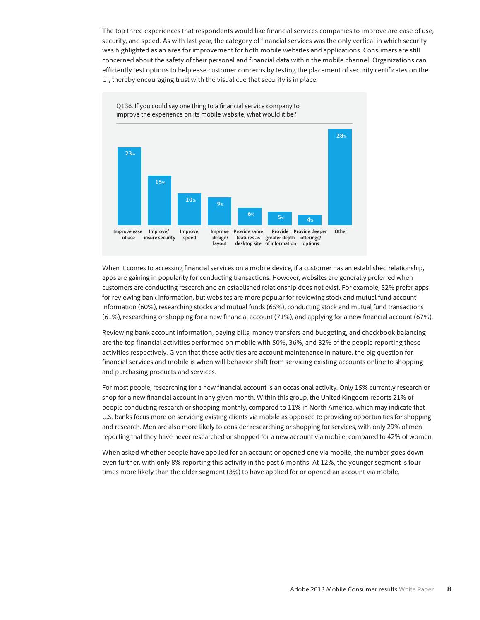The top three experiences that respondents would like financial services companies to improve are ease of use, security, and speed. As with last year, the category of financial services was the only vertical in which security was highlighted as an area for improvement for both mobile websites and applications. Consumers are still concerned about the safety of their personal and financial data within the mobile channel. Organizations can efficiently test options to help ease customer concerns by testing the placement of security certificates on the UI, thereby encouraging trust with the visual cue that security is in place.



When it comes to accessing financial services on a mobile device, if a customer has an established relationship, apps are gaining in popularity for conducting transactions. However, websites are generally preferred when customers are conducting research and an established relationship does not exist. For example, 52% prefer apps for reviewing bank information, but websites are more popular for reviewing stock and mutual fund account information (60%), researching stocks and mutual funds (65%), conducting stock and mutual fund transactions (61%), researching or shopping for a new financial account (71%), and applying for a new financial account (67%).

Reviewing bank account information, paying bills, money transfers and budgeting, and checkbook balancing are the top financial activities performed on mobile with 50%, 36%, and 32% of the people reporting these activities respectively. Given that these activities are account maintenance in nature, the big question for financial services and mobile is when will behavior shift from servicing existing accounts online to shopping and purchasing products and services.

For most people, researching for a new financial account is an occasional activity. Only 15% currently research or shop for a new financial account in any given month. Within this group, the United Kingdom reports 21% of people conducting research or shopping monthly, compared to 11% in North America, which may indicate that U.S. banks focus more on servicing existing clients via mobile as opposed to providing opportunities for shopping and research. Men are also more likely to consider researching or shopping for services, with only 29% of men reporting that they have never researched or shopped for a new account via mobile, compared to 42% of women.

When asked whether people have applied for an account or opened one via mobile, the number goes down even further, with only 8% reporting this activity in the past 6 months. At 12%, the younger segment is four times more likely than the older segment (3%) to have applied for or opened an account via mobile.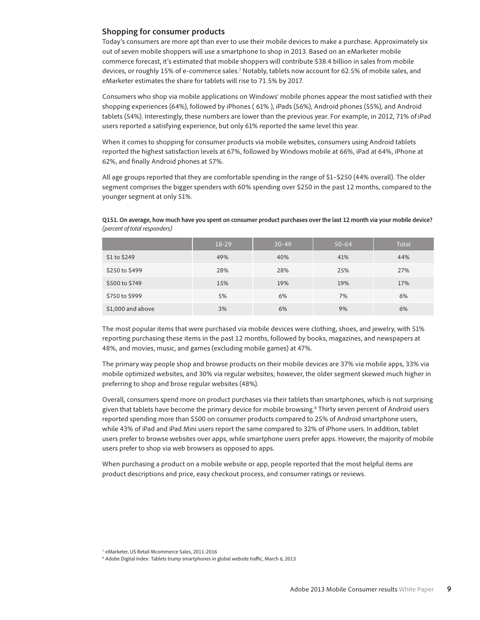## **Shopping for consumer products**

Today's consumers are more apt than ever to use their mobile devices to make a purchase. Approximately six out of seven mobile shoppers will use a smartphone to shop in 2013. Based on an eMarketer mobile commerce forecast, it's estimated that mobile shoppers will contribute \$38.4 billion in sales from mobile devices, or roughly 15% of e-commerce sales.<sup>7</sup> Notably, tablets now account for 62.5% of mobile sales, and eMarketer estimates the share for tablets will rise to 71.5% by 2017.

Consumers who shop via mobile applications on Windows<sup>®</sup> mobile phones appear the most satisfied with their shopping experiences (64%), followed by iPhones ( 61% ), iPads (56%), Android phones (55%), and Android tablets (54%). Interestingly, these numbers are lower than the previous year. For example, in 2012, 71% of iPad users reported a satisfying experience, but only 61% reported the same level this year.

When it comes to shopping for consumer products via mobile websites, consumers using Android tablets reported the highest satisfaction levels at 67%, followed by Windows mobile at 66%, iPad at 64%, iPhone at 62%, and finally Android phones at 57%.

All age groups reported that they are comfortable spending in the range of \$1–\$250 (44% overall). The older segment comprises the bigger spenders with 60% spending over \$250 in the past 12 months, compared to the younger segment at only 51%.

**Q151. On average, how much have you spent on consumer product purchases over the last 12 month via your mobile device?**  (percent of total responders)

|                   | 18-29 | $30 - 49$ | $50 - 64$ | Total |
|-------------------|-------|-----------|-----------|-------|
| \$1 to \$249      | 49%   | 40%       | 41%       | 44%   |
| \$250 to \$499    | 28%   | 28%       | 25%       | 27%   |
| \$500 to \$749    | 15%   | 19%       | 19%       | 17%   |
| \$750 to \$999    | 5%    | 6%        | 7%        | 6%    |
| \$1,000 and above | 3%    | 6%        | 9%        | 6%    |

The most popular items that were purchased via mobile devices were clothing, shoes, and jewelry, with 51% reporting purchasing these items in the past 12 months, followed by books, magazines, and newspapers at 48%, and movies, music, and games (excluding mobile games) at 47%.

The primary way people shop and browse products on their mobile devices are 37% via mobile apps, 33% via mobile optimized websites, and 30% via regular websites; however, the older segment skewed much higher in preferring to shop and brose regular websites (48%).

Overall, consumers spend more on product purchases via their tablets than smartphones, which is not surprising given that tablets have become the primary device for mobile browsing.<sup>8</sup> Thirty seven percent of Android users reported spending more than \$500 on consumer products compared to 25% of Android smartphone users, while 43% of iPad and iPad Mini users report the same compared to 32% of iPhone users. In addition, tablet users prefer to browse websites over apps, while smartphone users prefer apps. However, the majority of mobile users prefer to shop via web browsers as opposed to apps.

When purchasing a product on a mobile website or app, people reported that the most helpful items are product descriptions and price, easy checkout process, and consumer ratings or reviews.

<sup>7</sup> eMarketer, US Retail Mcommerce Sales, 2011-2016

<sup>&</sup>lt;sup>8</sup> Adobe Digital Index: Tablets trump smartphones in global website traffic, March 6, 2013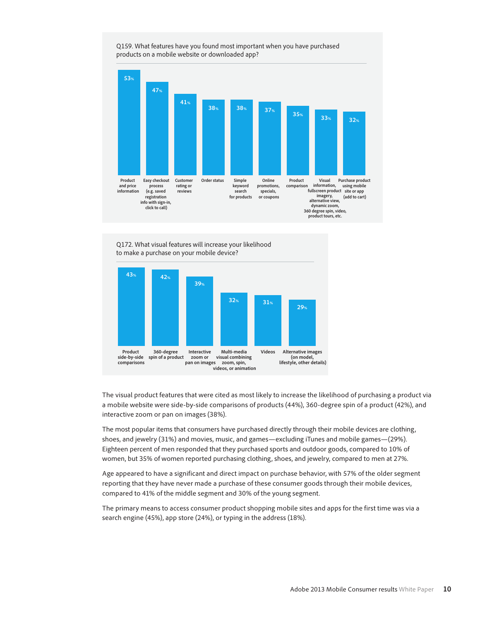



The visual product features that were cited as most likely to increase the likelihood of purchasing a product via a mobile website were side-by-side comparisons of products (44%), 360-degree spin of a product (42%), and interactive zoom or pan on images (38%).

The most popular items that consumers have purchased directly through their mobile devices are clothing, shoes, and jewelry (31%) and movies, music, and games—excluding iTunes and mobile games—(29%). Eighteen percent of men responded that they purchased sports and outdoor goods, compared to 10% of women, but 35% of women reported purchasing clothing, shoes, and jewelry, compared to men at 27%.

Age appeared to have a significant and direct impact on purchase behavior, with 57% of the older segment reporting that they have never made a purchase of these consumer goods through their mobile devices, compared to 41% of the middle segment and 30% of the young segment.

The primary means to access consumer product shopping mobile sites and apps for the first time was via a search engine (45%), app store (24%), or typing in the address (18%).

Q159. What features have you found most important when you have purchased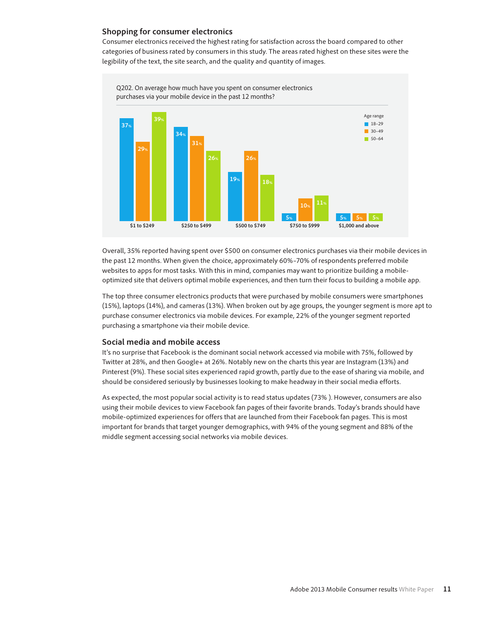## **Shopping for consumer electronics**

Consumer electronics received the highest rating for satisfaction across the board compared to other categories of business rated by consumers in this study. The areas rated highest on these sites were the legibility of the text, the site search, and the quality and quantity of images.



Overall, 35% reported having spent over \$500 on consumer electronics purchases via their mobile devices in the past 12 months. When given the choice, approximately 60%–70% of respondents preferred mobile websites to apps for most tasks. With this in mind, companies may want to prioritize building a mobileoptimized site that delivers optimal mobile experiences, and then turn their focus to building a mobile app.

The top three consumer electronics products that were purchased by mobile consumers were smartphones (15%), laptops (14%), and cameras (13%). When broken out by age groups, the younger segment is more apt to purchase consumer electronics via mobile devices. For example, 22% of the younger segment reported purchasing a smartphone via their mobile device.

## **Social media and mobile access**

It's no surprise that Facebook is the dominant social network accessed via mobile with 75%, followed by Twitter at 28%, and then Google+ at 26%. Notably new on the charts this year are Instagram (13%) and Pinterest (9%). These social sites experienced rapid growth, partly due to the ease of sharing via mobile, and should be considered seriously by businesses looking to make headway in their social media efforts.

As expected, the most popular social activity is to read status updates (73% ). However, consumers are also using their mobile devices to view Facebook fan pages of their favorite brands. Today's brands should have mobile-optimized experiences for offers that are launched from their Facebook fan pages. This is most important for brands that target younger demographics, with 94% of the young segment and 88% of the middle segment accessing social networks via mobile devices.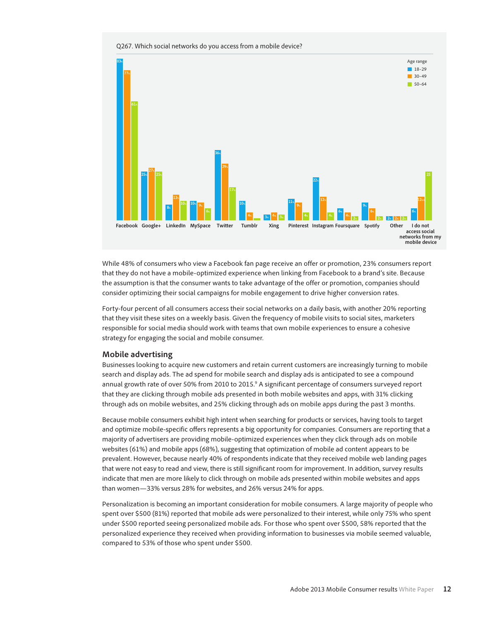

Q267. Which social networks do you access from a mobile device?

While 48% of consumers who view a Facebook fan page receive an offer or promotion, 23% consumers report that they do not have a mobile-optimized experience when linking from Facebook to a brand's site. Because the assumption is that the consumer wants to take advantage of the offer or promotion, companies should consider optimizing their social campaigns for mobile engagement to drive higher conversion rates.

Forty-four percent of all consumers access their social networks on a daily basis, with another 20% reporting that they visit these sites on a weekly basis. Given the frequency of mobile visits to social sites, marketers responsible for social media should work with teams that own mobile experiences to ensure a cohesive strategy for engaging the social and mobile consumer.

#### **Mobile advertising**

Businesses looking to acquire new customers and retain current customers are increasingly turning to mobile search and display ads. The ad spend for mobile search and display ads is anticipated to see a compound annual growth rate of over 50% from 2010 to 2015.<sup>9</sup> A significant percentage of consumers surveyed report that they are clicking through mobile ads presented in both mobile websites and apps, with 31% clicking through ads on mobile websites, and 25% clicking through ads on mobile apps during the past 3 months.

Because mobile consumers exhibit high intent when searching for products or services, having tools to target and optimize mobile-specific offers represents a big opportunity for companies. Consumers are reporting that a majority of advertisers are providing mobile-optimized experiences when they click through ads on mobile websites (61%) and mobile apps (68%), suggesting that optimization of mobile ad content appears to be prevalent. However, because nearly 40% of respondents indicate that they received mobile web landing pages that were not easy to read and view, there is still significant room for improvement. In addition, survey results indicate that men are more likely to click through on mobile ads presented within mobile websites and apps than women—33% versus 28% for websites, and 26% versus 24% for apps.

Personalization is becoming an important consideration for mobile consumers. A large majority of people who spent over \$500 (81%) reported that mobile ads were personalized to their interest, while only 75% who spent under \$500 reported seeing personalized mobile ads. For those who spent over \$500, 58% reported that the personalized experience they received when providing information to businesses via mobile seemed valuable, compared to 53% of those who spent under \$500.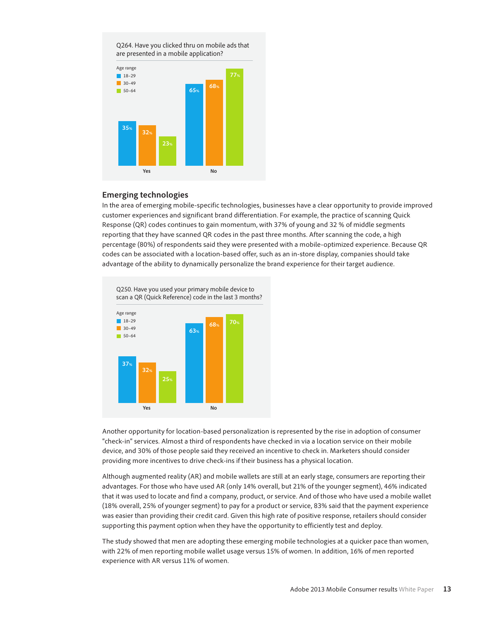

## **Emerging technologies**

In the area of emerging mobile-specific technologies, businesses have a clear opportunity to provide improved customer experiences and significant brand differentiation. For example, the practice of scanning Quick Response (QR) codes continues to gain momentum, with 37% of young and 32 % of middle segments reporting that they have scanned QR codes in the past three months. After scanning the code, a high percentage (80%) of respondents said they were presented with a mobile-optimized experience. Because QR codes can be associated with a location-based offer, such as an in-store display, companies should take advantage of the ability to dynamically personalize the brand experience for their target audience.



Another opportunity for location-based personalization is represented by the rise in adoption of consumer "check-in" services. Almost a third of respondents have checked in via a location service on their mobile device, and 30% of those people said they received an incentive to check in. Marketers should consider providing more incentives to drive check-ins if their business has a physical location.

Although augmented reality (AR) and mobile wallets are still at an early stage, consumers are reporting their advantages. For those who have used AR (only 14% overall, but 21% of the younger segment), 46% indicated that it was used to locate and find a company, product, or service. And of those who have used a mobile wallet (18% overall, 25% of younger segment) to pay for a product or service, 83% said that the payment experience was easier than providing their credit card. Given this high rate of positive response, retailers should consider supporting this payment option when they have the opportunity to efficiently test and deploy.

The study showed that men are adopting these emerging mobile technologies at a quicker pace than women, with 22% of men reporting mobile wallet usage versus 15% of women. In addition, 16% of men reported experience with AR versus 11% of women.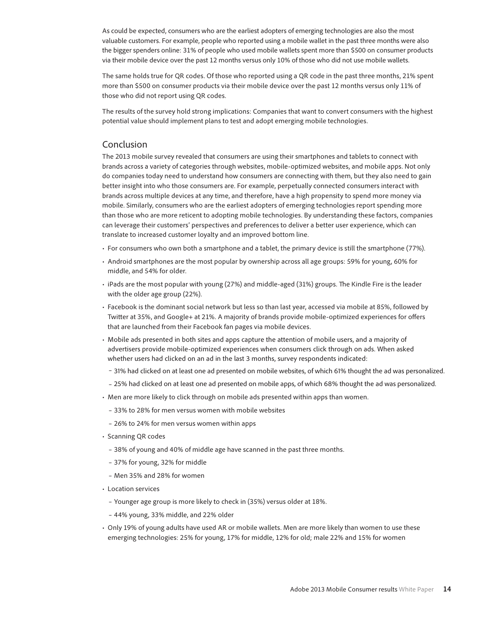<span id="page-13-0"></span>As could be expected, consumers who are the earliest adopters of emerging technologies are also the most valuable customers. For example, people who reported using a mobile wallet in the past three months were also the bigger spenders online: 31% of people who used mobile wallets spent more than \$500 on consumer products via their mobile device over the past 12 months versus only 10% of those who did not use mobile wallets.

The same holds true for QR codes. Of those who reported using a QR code in the past three months, 21% spent more than \$500 on consumer products via their mobile device over the past 12 months versus only 11% of those who did not report using QR codes.

The results of the survey hold strong implications: Companies that want to convert consumers with the highest potential value should implement plans to test and adopt emerging mobile technologies.

## Conclusion

The 2013 mobile survey revealed that consumers are using their smartphones and tablets to connect with brands across a variety of categories through websites, mobile-optimized websites, and mobile apps. Not only do companies today need to understand how consumers are connecting with them, but they also need to gain better insight into who those consumers are. For example, perpetually connected consumers interact with brands across multiple devices at any time, and therefore, have a high propensity to spend more money via mobile. Similarly, consumers who are the earliest adopters of emerging technologies report spending more than those who are more reticent to adopting mobile technologies. By understanding these factors, companies can leverage their customers' perspectives and preferences to deliver a better user experience, which can translate to increased customer loyalty and an improved bottom line.

- · For consumers who own both a smartphone and a tablet, the primary device is still the smartphone (77%). .
- . Android smartphones are the most popular by ownership across all age groups: 59% for young, 60% for middle, and 54% for older.
- $\cdot$  iPads are the most popular with young (27%) and middle-aged (31%) groups. The Kindle Fire is the leader with the older age group (22%).
- · Facebook is the dominant social network but less so than last year, accessed via mobile at 85%, followed by Twitter at 35%, and Google+ at 21%. A majority of brands provide mobile-optimized experiences for offers that are launched from their Facebook fan pages via mobile devices.
- · Mobile ads presented in both sites and apps capture the attention of mobile users, and a majority of advertisers provide mobile-optimized experiences when consumers click through on ads. When asked whether users had clicked on an ad in the last 3 months, survey respondents indicated:
	- 31% had clicked on at least one ad presented on mobile websites, of which 61% thought the ad was personalized.
	- 25% had clicked on at least one ad presented on mobile apps, of which 68% thought the ad was personalized.
- Men are more likely to click through on mobile ads presented within apps than women.
	- 33% to 28% for men versus women with mobile websites
	- 26% to 24% for men versus women within apps
- Scanning QR codes
	- 38% of young and 40% of middle age have scanned in the past three months.
	- 37% for young, 32% for middle
	- Men 35% and 28% for women
- Location services
	- Younger age group is more likely to check in (35%) versus older at 18%.
	- 44% young, 33% middle, and 22% older
- Only 19% of young adults have used AR or mobile wallets. Men are more likely than women to use these emerging technologies: 25% for young, 17% for middle, 12% for old; male 22% and 15% for women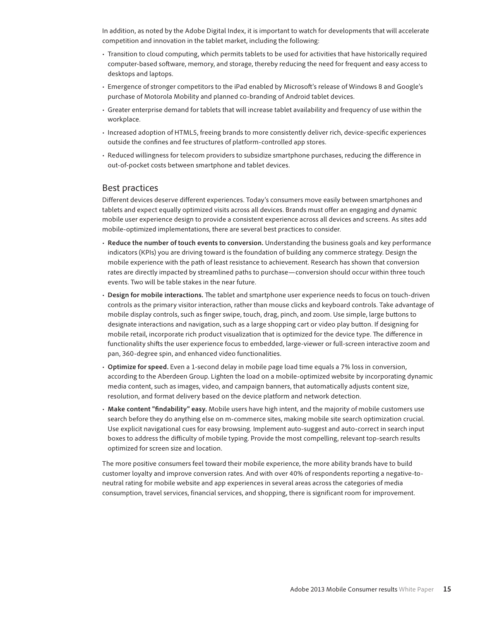<span id="page-14-0"></span>In addition, as noted by the Adobe Digital Index, it is important to watch for developments that will accelerate competition and innovation in the tablet market, including the following:

- · Transition to cloud computing, which permits tablets to be used for activities that have historically required computer-based software, memory, and storage, thereby reducing the need for frequent and easy access to desktops and laptops.
- $\cdot$  Emergence of stronger competitors to the iPad enabled by Microsoft's release of Windows 8 and Google's purchase of Motorola Mobility and planned co-branding of Android tablet devices.
- · Greater enterprise demand for tablets that will increase tablet availability and frequency of use within the workplace.
- · Increased adoption of HTML5, freeing brands to more consistently deliver rich, device-specific experiences outside the confines and fee structures of platform-controlled app stores.
- · Reduced willingness for telecom providers to subsidize smartphone purchases, reducing the difference in out-of-pocket costs between smartphone and tablet devices.

## Best practices

Different devices deserve different experiences. Today's consumers move easily between smartphones and tablets and expect equally optimized visits across all devices. Brands must offer an engaging and dynamic mobile user experience design to provide a consistent experience across all devices and screens. As sites add mobile-optimized implementations, there are several best practices to consider.

- r **Reduce the number of touch events to conversion.** Understanding the business goals and key performance indicators (KPIs) you are driving toward is the foundation of building any commerce strategy. Design the mobile experience with the path of least resistance to achievement. Research has shown that conversion rates are directly impacted by streamlined paths to purchase—conversion should occur within three touch events. Two will be table stakes in the near future.
- **Design for mobile interactions.** The tablet and smartphone user experience needs to focus on touch-driven controls as the primary visitor interaction, rather than mouse clicks and keyboard controls. Take advantage of mobile display controls, such as finger swipe, touch, drag, pinch, and zoom. Use simple, large buttons to designate interactions and navigation, such as a large shopping cart or video play button. If designing for mobile retail, incorporate rich product visualization that is optimized for the device type. The difference in functionality shifts the user experience focus to embedded, large-viewer or full-screen interactive zoom and pan, 360-degree spin, and enhanced video functionalities.
- r **Optimize for speed.** Even a 1-second delay in mobile page load time equals a 7% loss in conversion, according to the Aberdeen Group. Lighten the load on a mobile-optimized website by incorporating dynamic media content, such as images, video, and campaign banners, that automatically adjusts content size, resolution, and format delivery based on the device platform and network detection.
- r **Make content "!ndability" easy.** Mobile users have high intent, and the majority of mobile customers use search before they do anything else on m-commerce sites, making mobile site search optimization crucial. Use explicit navigational cues for easy browsing. Implement auto-suggest and auto-correct in search input boxes to address the difficulty of mobile typing. Provide the most compelling, relevant top-search results optimized for screen size and location.

The more positive consumers feel toward their mobile experience, the more ability brands have to build customer loyalty and improve conversion rates. And with over 40% of respondents reporting a negative-toneutral rating for mobile website and app experiences in several areas across the categories of media consumption, travel services, financial services, and shopping, there is significant room for improvement.